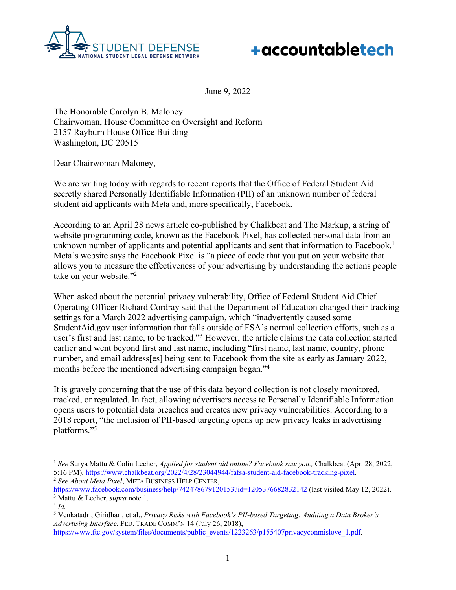



June 9, 2022

The Honorable Carolyn B. Maloney Chairwoman, House Committee on Oversight and Reform 2157 Rayburn House Office Building Washington, DC 20515

Dear Chairwoman Maloney,

We are writing today with regards to recent reports that the Office of Federal Student Aid secretly shared Personally Identifiable Information (PII) of an unknown number of federal student aid applicants with Meta and, more specifically, Facebook.

According to an April 28 news article co-published by Chalkbeat and The Markup, a string of website programming code, known as the Facebook Pixel, has collected personal data from an unknown number of applicants and potential applicants and sent that information to Facebook.<sup>1</sup> Meta's website says the Facebook Pixel is "a piece of code that you put on your website that allows you to measure the effectiveness of your advertising by understanding the actions people take on your website."2

When asked about the potential privacy vulnerability, Office of Federal Student Aid Chief Operating Officer Richard Cordray said that the Department of Education changed their tracking settings for a March 2022 advertising campaign, which "inadvertently caused some StudentAid.gov user information that falls outside of FSA's normal collection efforts, such as a user's first and last name, to be tracked."3 However, the article claims the data collection started earlier and went beyond first and last name, including "first name, last name, country, phone number, and email address[es] being sent to Facebook from the site as early as January 2022, months before the mentioned advertising campaign began."4

It is gravely concerning that the use of this data beyond collection is not closely monitored, tracked, or regulated. In fact, allowing advertisers access to Personally Identifiable Information opens users to potential data breaches and creates new privacy vulnerabilities. According to a 2018 report, "the inclusion of PII-based targeting opens up new privacy leaks in advertising platforms."5

<sup>1</sup> *See* Surya Mattu & Colin Lecher, *Applied for student aid online? Facebook saw you.,* Chalkbeat (Apr. 28, 2022, 5:16 PM), https://www.chalkbeat.org/2022/4/28/23044944/fafsa-student-aid-facebook-tracking-pixel. <sup>2</sup> *See About Meta Pixel*, META BUSINESS HELP CENTER,

https://www.facebook.com/business/help/742478679120153?id=1205376682832142 (last visited May 12, 2022). <sup>3</sup> Mattu & Lecher, *supra* note 1. 4 *Id.*

<sup>5</sup> Venkatadri, Giridhari, et al., *Privacy Risks with Facebook's PII-based Targeting: Auditing a Data Broker's Advertising Interface*, FED. TRADE COMM'N 14 (July 26, 2018),

https://www.ftc.gov/system/files/documents/public\_events/1223263/p155407privacyconmislove\_1.pdf.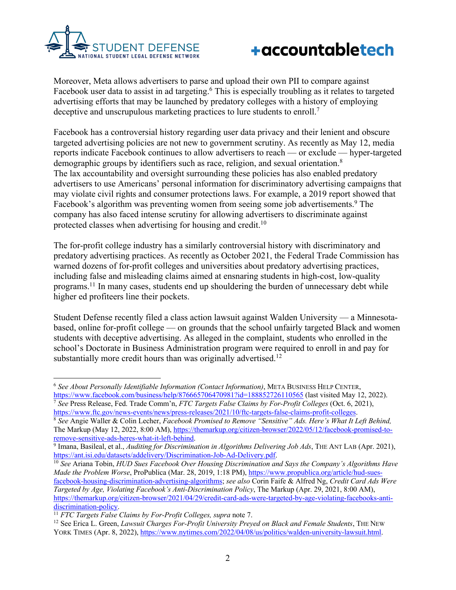



Moreover, Meta allows advertisers to parse and upload their own PII to compare against Facebook user data to assist in ad targeting.<sup>6</sup> This is especially troubling as it relates to targeted advertising efforts that may be launched by predatory colleges with a history of employing deceptive and unscrupulous marketing practices to lure students to enroll.<sup>7</sup>

Facebook has a controversial history regarding user data privacy and their lenient and obscure targeted advertising policies are not new to government scrutiny. As recently as May 12, media reports indicate Facebook continues to allow advertisers to reach — or exclude — hyper-targeted demographic groups by identifiers such as race, religion, and sexual orientation.<sup>8</sup> The lax accountability and oversight surrounding these policies has also enabled predatory advertisers to use Americans' personal information for discriminatory advertising campaigns that may violate civil rights and consumer protections laws. For example, a 2019 report showed that Facebook's algorithm was preventing women from seeing some job advertisements.<sup>9</sup> The company has also faced intense scrutiny for allowing advertisers to discriminate against protected classes when advertising for housing and credit.<sup>10</sup>

The for-profit college industry has a similarly controversial history with discriminatory and predatory advertising practices. As recently as October 2021, the Federal Trade Commission has warned dozens of for-profit colleges and universities about predatory advertising practices, including false and misleading claims aimed at ensnaring students in high-cost, low-quality programs.11 In many cases, students end up shouldering the burden of unnecessary debt while higher ed profiteers line their pockets.

Student Defense recently filed a class action lawsuit against Walden University — a Minnesotabased, online for-profit college — on grounds that the school unfairly targeted Black and women students with deceptive advertising. As alleged in the complaint, students who enrolled in the school's Doctorate in Business Administration program were required to enroll in and pay for substantially more credit hours than was originally advertised.<sup>12</sup>

<sup>6</sup> *See About Personally Identifiable Information (Contact Information)*, META BUSINESS HELP CENTER, https://www.facebook.com/business/help/876665706470981?id=188852726110565 (last visited May 12, 2022). 7 *See* Press Release, Fed. Trade Comm'n, *FTC Targets False Claims by For-Profit Colleges* (Oct. 6, 2021),

https://www.ftc.gov/news-events/news/press-releases/2021/10/ftc-targets-false-claims-profit-colleges.

<sup>8</sup> *See* Angie Waller & Colin Lecher, *Facebook Promised to Remove "Sensitive" Ads. Here's What It Left Behind,* The Markup (May 12, 2022, 8:00 AM), https://themarkup.org/citizen-browser/2022/05/12/facebook-promised-toremove-sensitive-ads-heres-what-it-left-behind.

<sup>9</sup> Imana, Basileal, et al., *Auditing for Discrimination in Algorithms Delivering Job Ads*, THE ANT LAB (Apr. 2021), https://ant.isi.edu/datasets/addelivery/Discrimination-Job-Ad-Delivery.pdf.

<sup>10</sup> *See* Ariana Tobin, *HUD Sues Facebook Over Housing Discrimination and Says the Company's Algorithms Have Made the Problem Worse*, ProPublica (Mar. 28, 2019, 1:18 PM), https://www.propublica.org/article/hud-suesfacebook-housing-discrimination-advertising-algorithms; *see also* Corin Faife & Alfred Ng, *Credit Card Ads Were Targeted by Age, Violating Facebook's Anti-Discrimination Policy*, The Markup (Apr. 29, 2021, 8:00 AM), https://themarkup.org/citizen-browser/2021/04/29/credit-card-ads-were-targeted-by-age-violating-facebooks-anti- $\frac{\text{discrimination-policy.}}{^{11} FTC \text{~Targets} \text{~False}$  Claims by For-Profit Colleges, supra note 7.

<sup>&</sup>lt;sup>12</sup> See Erica L. Green, *Lawsuit Charges For-Profit University Preyed on Black and Female Students*, THE NEW YORK TIMES (Apr. 8, 2022), https://www.nytimes.com/2022/04/08/us/politics/walden-university-lawsuit.html.